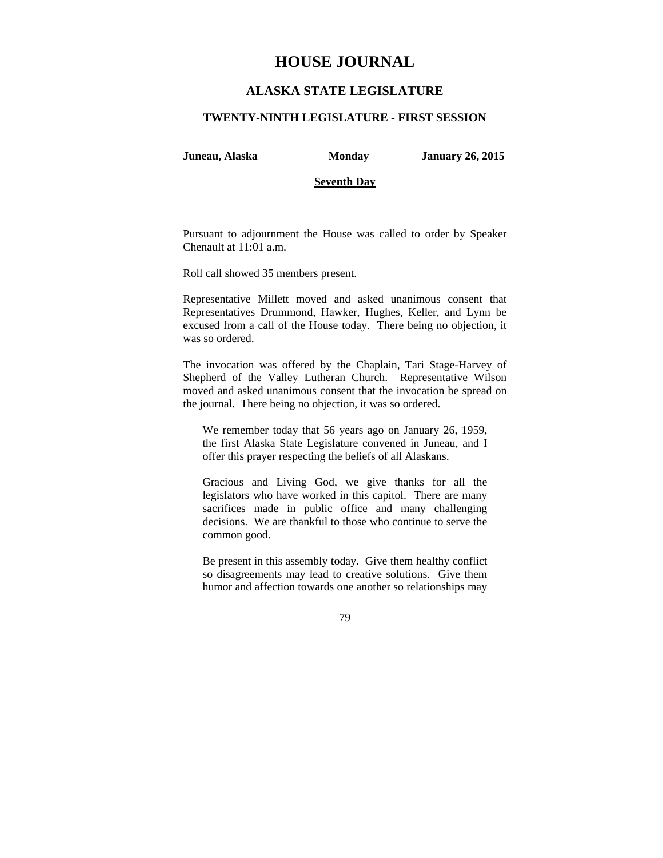# **HOUSE JOURNAL**

## **ALASKA STATE LEGISLATURE**

#### **TWENTY-NINTH LEGISLATURE - FIRST SESSION**

**Juneau, Alaska Monday January 26, 2015** 

#### **Seventh Day**

Pursuant to adjournment the House was called to order by Speaker Chenault at 11:01 a.m.

Roll call showed 35 members present.

Representative Millett moved and asked unanimous consent that Representatives Drummond, Hawker, Hughes, Keller, and Lynn be excused from a call of the House today. There being no objection, it was so ordered.

The invocation was offered by the Chaplain, Tari Stage-Harvey of Shepherd of the Valley Lutheran Church. Representative Wilson moved and asked unanimous consent that the invocation be spread on the journal. There being no objection, it was so ordered.

We remember today that 56 years ago on January 26, 1959, the first Alaska State Legislature convened in Juneau, and I offer this prayer respecting the beliefs of all Alaskans.

Gracious and Living God, we give thanks for all the legislators who have worked in this capitol. There are many sacrifices made in public office and many challenging decisions. We are thankful to those who continue to serve the common good.

Be present in this assembly today. Give them healthy conflict so disagreements may lead to creative solutions. Give them humor and affection towards one another so relationships may

79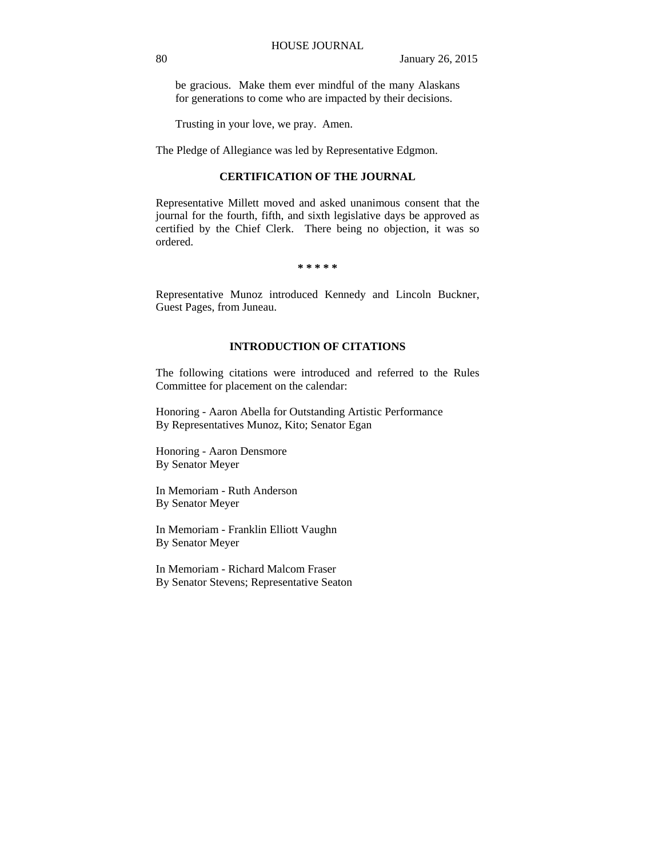be gracious. Make them ever mindful of the many Alaskans for generations to come who are impacted by their decisions.

Trusting in your love, we pray. Amen.

The Pledge of Allegiance was led by Representative Edgmon.

## **CERTIFICATION OF THE JOURNAL**

Representative Millett moved and asked unanimous consent that the journal for the fourth, fifth, and sixth legislative days be approved as certified by the Chief Clerk. There being no objection, it was so ordered.

**\* \* \* \* \*** 

Representative Munoz introduced Kennedy and Lincoln Buckner, Guest Pages, from Juneau.

## **INTRODUCTION OF CITATIONS**

The following citations were introduced and referred to the Rules Committee for placement on the calendar:

Honoring - Aaron Abella for Outstanding Artistic Performance By Representatives Munoz, Kito; Senator Egan

Honoring - Aaron Densmore By Senator Meyer

In Memoriam - Ruth Anderson By Senator Meyer

In Memoriam - Franklin Elliott Vaughn By Senator Meyer

In Memoriam - Richard Malcom Fraser By Senator Stevens; Representative Seaton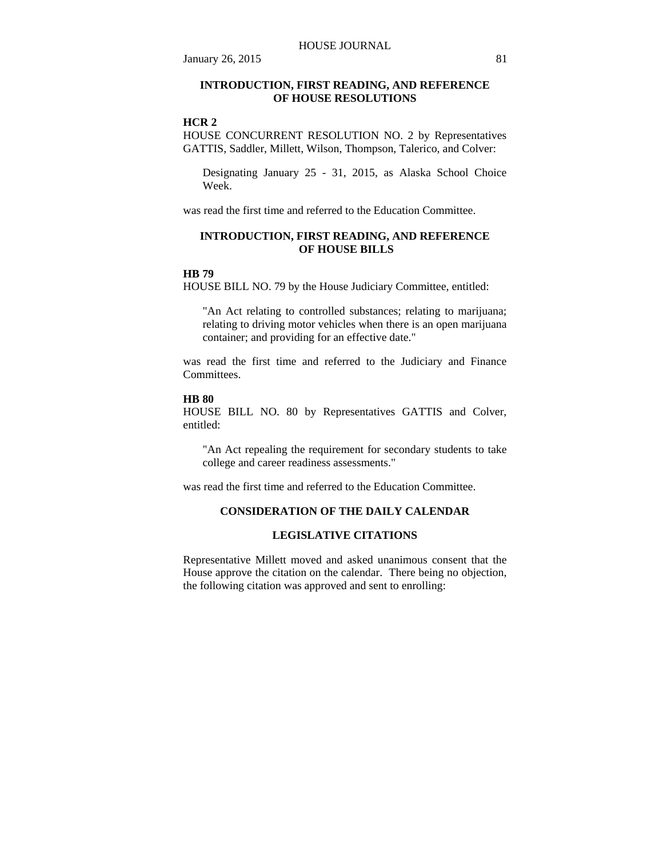## **INTRODUCTION, FIRST READING, AND REFERENCE OF HOUSE RESOLUTIONS**

## **HCR 2**

HOUSE CONCURRENT RESOLUTION NO. 2 by Representatives GATTIS, Saddler, Millett, Wilson, Thompson, Talerico, and Colver:

Designating January 25 - 31, 2015, as Alaska School Choice Week.

was read the first time and referred to the Education Committee.

## **INTRODUCTION, FIRST READING, AND REFERENCE OF HOUSE BILLS**

## **HB 79**

HOUSE BILL NO. 79 by the House Judiciary Committee, entitled:

"An Act relating to controlled substances; relating to marijuana; relating to driving motor vehicles when there is an open marijuana container; and providing for an effective date."

was read the first time and referred to the Judiciary and Finance Committees.

#### **HB 80**

HOUSE BILL NO. 80 by Representatives GATTIS and Colver, entitled:

"An Act repealing the requirement for secondary students to take college and career readiness assessments."

was read the first time and referred to the Education Committee.

## **CONSIDERATION OF THE DAILY CALENDAR**

#### **LEGISLATIVE CITATIONS**

Representative Millett moved and asked unanimous consent that the House approve the citation on the calendar. There being no objection, the following citation was approved and sent to enrolling: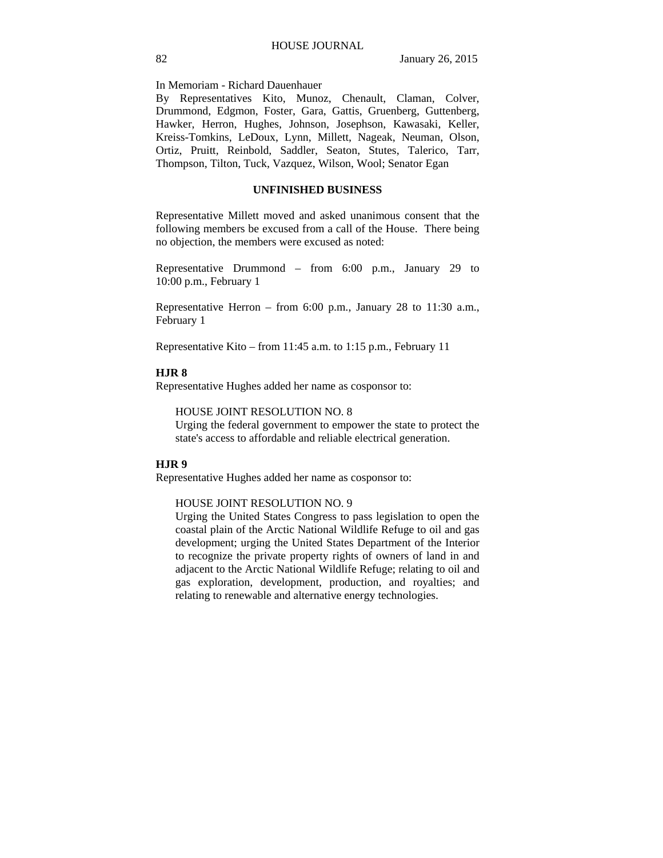In Memoriam - Richard Dauenhauer

By Representatives Kito, Munoz, Chenault, Claman, Colver, Drummond, Edgmon, Foster, Gara, Gattis, Gruenberg, Guttenberg, Hawker, Herron, Hughes, Johnson, Josephson, Kawasaki, Keller, Kreiss-Tomkins, LeDoux, Lynn, Millett, Nageak, Neuman, Olson, Ortiz, Pruitt, Reinbold, Saddler, Seaton, Stutes, Talerico, Tarr, Thompson, Tilton, Tuck, Vazquez, Wilson, Wool; Senator Egan

#### **UNFINISHED BUSINESS**

Representative Millett moved and asked unanimous consent that the following members be excused from a call of the House. There being no objection, the members were excused as noted:

Representative Drummond – from 6:00 p.m., January 29 to 10:00 p.m., February 1

Representative Herron – from 6:00 p.m., January 28 to 11:30 a.m., February 1

Representative Kito – from 11:45 a.m. to 1:15 p.m., February 11

#### **HJR 8**

Representative Hughes added her name as cosponsor to:

HOUSE JOINT RESOLUTION NO. 8

Urging the federal government to empower the state to protect the state's access to affordable and reliable electrical generation.

## **HJR 9**

Representative Hughes added her name as cosponsor to:

### HOUSE JOINT RESOLUTION NO. 9

Urging the United States Congress to pass legislation to open the coastal plain of the Arctic National Wildlife Refuge to oil and gas development; urging the United States Department of the Interior to recognize the private property rights of owners of land in and adjacent to the Arctic National Wildlife Refuge; relating to oil and gas exploration, development, production, and royalties; and relating to renewable and alternative energy technologies.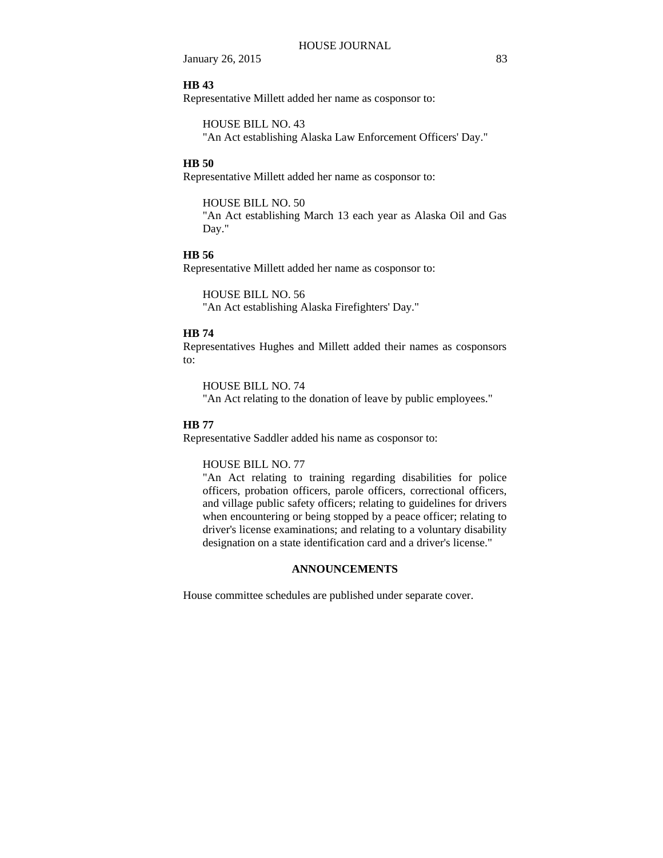**January 26, 2015** 83

#### **HB 43**

Representative Millett added her name as cosponsor to:

HOUSE BILL NO. 43

"An Act establishing Alaska Law Enforcement Officers' Day."

## **HB 50**

Representative Millett added her name as cosponsor to:

HOUSE BILL NO. 50 "An Act establishing March 13 each year as Alaska Oil and Gas Day."

#### **HB 56**

Representative Millett added her name as cosponsor to:

HOUSE BILL NO. 56 "An Act establishing Alaska Firefighters' Day."

## **HB 74**

Representatives Hughes and Millett added their names as cosponsors to:

HOUSE BILL NO. 74

"An Act relating to the donation of leave by public employees."

## **HB 77**

Representative Saddler added his name as cosponsor to:

### HOUSE BILL NO. 77

"An Act relating to training regarding disabilities for police officers, probation officers, parole officers, correctional officers, and village public safety officers; relating to guidelines for drivers when encountering or being stopped by a peace officer; relating to driver's license examinations; and relating to a voluntary disability designation on a state identification card and a driver's license."

#### **ANNOUNCEMENTS**

House committee schedules are published under separate cover.